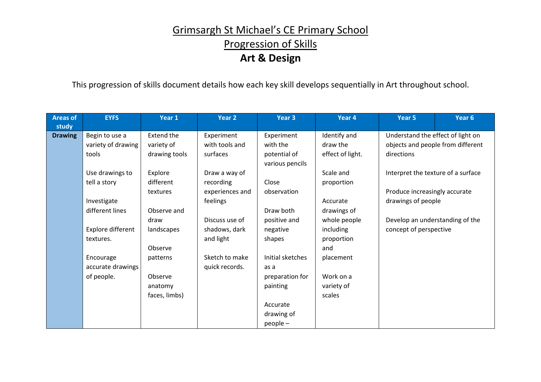## Grimsargh St Michael's CE Primary School Progression of Skills **Art & Design**

This progression of skills document details how each key skill develops sequentially in Art throughout school.

| <b>Areas of</b> | <b>EYFS</b>        | Year 1            | Year 2          | Year 3           | Year 4           | Year 5                                                    | Year <sub>6</sub> |
|-----------------|--------------------|-------------------|-----------------|------------------|------------------|-----------------------------------------------------------|-------------------|
| study           |                    |                   |                 |                  |                  |                                                           |                   |
| <b>Drawing</b>  | Begin to use a     | <b>Extend the</b> | Experiment      | Experiment       | Identify and     | Understand the effect of light on                         |                   |
|                 | variety of drawing | variety of        | with tools and  | with the         | draw the         | objects and people from different                         |                   |
|                 | tools              | drawing tools     | surfaces        | potential of     | effect of light. | directions                                                |                   |
|                 |                    |                   |                 | various pencils  |                  |                                                           |                   |
|                 | Use drawings to    | Explore           | Draw a way of   |                  | Scale and        | Interpret the texture of a surface                        |                   |
|                 | tell a story       | different         | recording       | Close            | proportion       |                                                           |                   |
|                 |                    | textures          | experiences and | observation      |                  | Produce increasingly accurate                             |                   |
|                 | Investigate        |                   | feelings        |                  | Accurate         | drawings of people                                        |                   |
|                 | different lines    | Observe and       |                 | Draw both        | drawings of      |                                                           |                   |
|                 |                    | draw              | Discuss use of  | positive and     | whole people     | Develop an understanding of the<br>concept of perspective |                   |
|                 | Explore different  | landscapes        | shadows, dark   | negative         | including        |                                                           |                   |
|                 | textures.          |                   | and light       | shapes           | proportion       |                                                           |                   |
|                 |                    | Observe           |                 |                  | and              |                                                           |                   |
|                 | Encourage          | patterns          | Sketch to make  | Initial sketches | placement        |                                                           |                   |
|                 | accurate drawings  |                   | quick records.  | as a             |                  |                                                           |                   |
|                 | of people.         | Observe           |                 | preparation for  | Work on a        |                                                           |                   |
|                 |                    | anatomy           |                 | painting         | variety of       |                                                           |                   |
|                 |                    | faces, limbs)     |                 |                  | scales           |                                                           |                   |
|                 |                    |                   |                 | Accurate         |                  |                                                           |                   |
|                 |                    |                   |                 | drawing of       |                  |                                                           |                   |
|                 |                    |                   |                 | $people -$       |                  |                                                           |                   |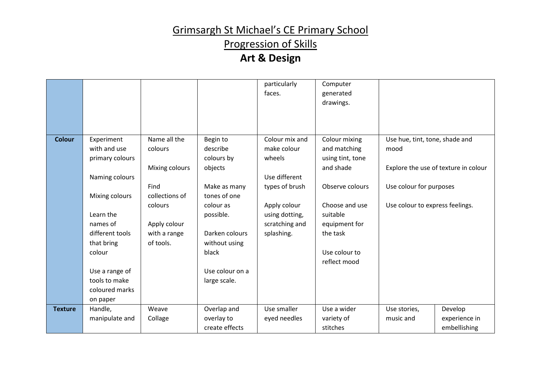## Progression of Skills

|                |                 |                        |                              | particularly<br>faces. | Computer<br>generated<br>drawings. |                                      |               |
|----------------|-----------------|------------------------|------------------------------|------------------------|------------------------------------|--------------------------------------|---------------|
|                |                 |                        |                              |                        |                                    |                                      |               |
| <b>Colour</b>  | Experiment      | Name all the           | Begin to                     | Colour mix and         | Colour mixing                      | Use hue, tint, tone, shade and       |               |
|                | with and use    | colours                | describe                     | make colour            | and matching                       | mood                                 |               |
|                | primary colours |                        | colours by                   | wheels                 | using tint, tone                   |                                      |               |
|                |                 | Mixing colours         | objects                      |                        | and shade                          | Explore the use of texture in colour |               |
|                | Naming colours  |                        |                              | Use different          |                                    |                                      |               |
|                | Mixing colours  | Find<br>collections of | Make as many<br>tones of one | types of brush         | Observe colours                    | Use colour for purposes              |               |
|                |                 | colours                | colour as                    | Apply colour           | Choose and use                     | Use colour to express feelings.      |               |
|                | Learn the       |                        | possible.                    | using dotting,         | suitable                           |                                      |               |
|                | names of        | Apply colour           |                              | scratching and         | equipment for                      |                                      |               |
|                | different tools | with a range           | Darken colours               | splashing.             | the task                           |                                      |               |
|                | that bring      | of tools.              | without using                |                        |                                    |                                      |               |
|                | colour          |                        | black                        |                        | Use colour to                      |                                      |               |
|                |                 |                        |                              |                        | reflect mood                       |                                      |               |
|                | Use a range of  |                        | Use colour on a              |                        |                                    |                                      |               |
|                | tools to make   |                        | large scale.                 |                        |                                    |                                      |               |
|                | coloured marks  |                        |                              |                        |                                    |                                      |               |
|                | on paper        |                        |                              |                        |                                    |                                      |               |
| <b>Texture</b> | Handle,         | Weave                  | Overlap and                  | Use smaller            | Use a wider                        | Use stories,                         | Develop       |
|                | manipulate and  | Collage                | overlay to                   | eyed needles           | variety of                         | music and                            | experience in |
|                |                 |                        | create effects               |                        | stitches                           |                                      | embellishing  |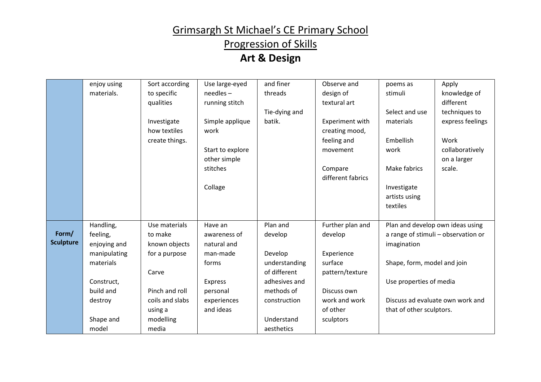## Progression of Skills

|                  | enjoy using  | Sort according  | Use large-eyed   | and finer     | Observe and       | poems as                         | Apply                               |
|------------------|--------------|-----------------|------------------|---------------|-------------------|----------------------------------|-------------------------------------|
|                  | materials.   | to specific     | $needles -$      | threads       | design of         | stimuli                          | knowledge of                        |
|                  |              | qualities       | running stitch   |               | textural art      |                                  | different                           |
|                  |              |                 |                  | Tie-dying and |                   | Select and use                   | techniques to                       |
|                  |              | Investigate     | Simple applique  | batik.        | Experiment with   | materials                        | express feelings                    |
|                  |              | how textiles    | work             |               | creating mood,    |                                  |                                     |
|                  |              | create things.  |                  |               | feeling and       | Embellish                        | Work                                |
|                  |              |                 | Start to explore |               | movement          | work                             | collaboratively                     |
|                  |              |                 | other simple     |               |                   |                                  | on a larger                         |
|                  |              |                 | stitches         |               | Compare           | Make fabrics                     | scale.                              |
|                  |              |                 |                  |               | different fabrics |                                  |                                     |
|                  |              |                 | Collage          |               |                   | Investigate                      |                                     |
|                  |              |                 |                  |               |                   | artists using                    |                                     |
|                  |              |                 |                  |               |                   | textiles                         |                                     |
|                  |              |                 |                  |               |                   |                                  |                                     |
|                  | Handling,    | Use materials   | Have an          | Plan and      | Further plan and  |                                  | Plan and develop own ideas using    |
| Form/            | feeling,     | to make         | awareness of     | develop       | develop           |                                  | a range of stimuli - observation or |
| <b>Sculpture</b> | enjoying and | known objects   | natural and      |               |                   | imagination                      |                                     |
|                  | manipulating | for a purpose   | man-made         | Develop       | Experience        |                                  |                                     |
|                  | materials    |                 | forms            | understanding | surface           | Shape, form, model and join      |                                     |
|                  |              | Carve           |                  | of different  | pattern/texture   |                                  |                                     |
|                  | Construct,   |                 | Express          | adhesives and |                   | Use properties of media          |                                     |
|                  | build and    | Pinch and roll  | personal         | methods of    | Discuss own       |                                  |                                     |
|                  | destroy      | coils and slabs | experiences      | construction  | work and work     | Discuss ad evaluate own work and |                                     |
|                  |              | using a         | and ideas        |               | of other          | that of other sculptors.         |                                     |
|                  | Shape and    | modelling       |                  | Understand    | sculptors         |                                  |                                     |
|                  | model        | media           |                  | aesthetics    |                   |                                  |                                     |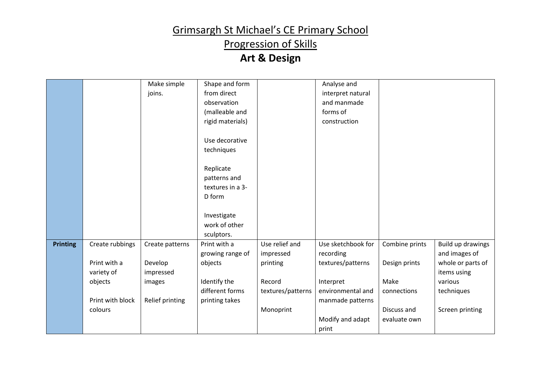## Progression of Skills

|                 |                  | Make simple     | Shape and form   |                   | Analyse and        |                |                   |
|-----------------|------------------|-----------------|------------------|-------------------|--------------------|----------------|-------------------|
|                 |                  | joins.          | from direct      |                   | interpret natural  |                |                   |
|                 |                  |                 | observation      |                   | and manmade        |                |                   |
|                 |                  |                 | (malleable and   |                   | forms of           |                |                   |
|                 |                  |                 | rigid materials) |                   | construction       |                |                   |
|                 |                  |                 |                  |                   |                    |                |                   |
|                 |                  |                 | Use decorative   |                   |                    |                |                   |
|                 |                  |                 | techniques       |                   |                    |                |                   |
|                 |                  |                 |                  |                   |                    |                |                   |
|                 |                  |                 | Replicate        |                   |                    |                |                   |
|                 |                  |                 | patterns and     |                   |                    |                |                   |
|                 |                  |                 | textures in a 3- |                   |                    |                |                   |
|                 |                  |                 | D form           |                   |                    |                |                   |
|                 |                  |                 |                  |                   |                    |                |                   |
|                 |                  |                 | Investigate      |                   |                    |                |                   |
|                 |                  |                 | work of other    |                   |                    |                |                   |
|                 |                  |                 | sculptors.       |                   |                    |                |                   |
| <b>Printing</b> | Create rubbings  | Create patterns | Print with a     | Use relief and    | Use sketchbook for | Combine prints | Build up drawings |
|                 |                  |                 | growing range of | impressed         | recording          |                | and images of     |
|                 | Print with a     | Develop         | objects          | printing          | textures/patterns  | Design prints  | whole or parts of |
|                 | variety of       | impressed       |                  |                   |                    |                | items using       |
|                 | objects          | images          | Identify the     | Record            | Interpret          | Make           | various           |
|                 |                  |                 | different forms  | textures/patterns | environmental and  | connections    | techniques        |
|                 | Print with block | Relief printing | printing takes   |                   | manmade patterns   |                |                   |
|                 | colours          |                 |                  | Monoprint         |                    | Discuss and    | Screen printing   |
|                 |                  |                 |                  |                   | Modify and adapt   | evaluate own   |                   |
|                 |                  |                 |                  |                   | print              |                |                   |